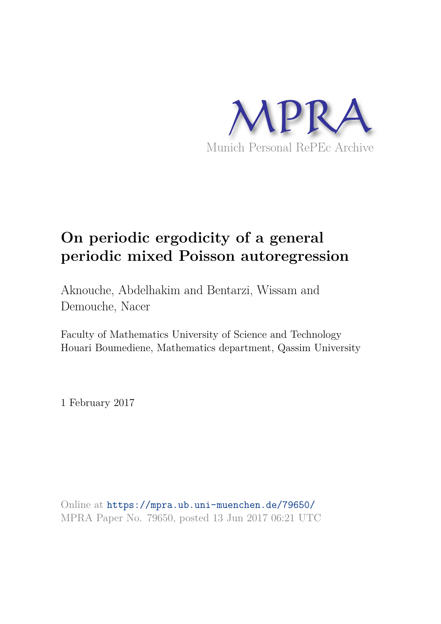

# **On periodic ergodicity of a general periodic mixed Poisson autoregression**

Aknouche, Abdelhakim and Bentarzi, Wissam and Demouche, Nacer

Faculty of Mathematics University of Science and Technology Houari Boumediene, Mathematics department, Qassim University

1 February 2017

Online at https://mpra.ub.uni-muenchen.de/79650/ MPRA Paper No. 79650, posted 13 Jun 2017 06:21 UTC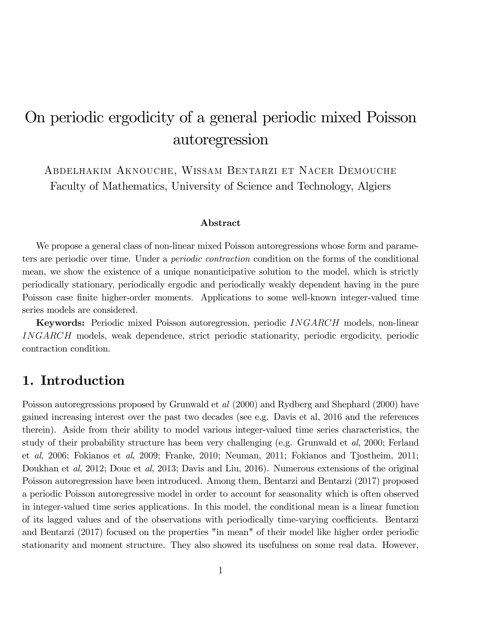# On periodic ergodicity of a general periodic mixed Poisson autoregression

Abdelhakim Aknouche, Wissam Bentarzi et Nacer Demouche Faculty of Mathematics, University of Science and Technology, Algiers

#### Abstract

We propose a general class of non-linear mixed Poisson autoregressions whose form and parameters are periodic over time. Under a periodic contraction condition on the forms of the conditional mean, we show the existence of a unique nonanticipative solution to the model, which is strictly periodically stationary, periodically ergodic and periodically weakly dependent having in the pure Poisson case finite higher-order moments. Applications to some well-known integer-valued time series models are considered.

Keywords: Periodic mixed Poisson autoregression, periodic INGARCH models, non-linear INGARCH models, weak dependence, strict periodic stationarity, periodic ergodicity, periodic contraction condition.

### 1. Introduction

Poisson autoregressions proposed by Grunwald et al (2000) and Rydberg and Shephard (2000) have gained increasing interest over the past two decades (see e.g. Davis et al, 2016 and the references therein). Aside from their ability to model various integer-valued time series characteristics, the study of their probability structure has been very challenging (e.g. Grunwald et al, 2000; Ferland et al, 2006; Fokianos et al, 2009; Franke, 2010; Neuman, 2011; Fokianos and Tjostheim, 2011; Doukhan et al, 2012; Douc et al, 2013; Davis and Liu, 2016). Numerous extensions of the original Poisson autoregression have been introduced. Among them, Bentarzi and Bentarzi (2017) proposed a periodic Poisson autoregressive model in order to account for seasonality which is often observed in integer-valued time series applications. In this model, the conditional mean is a linear function of its lagged values and of the observations with periodically time-varying coefficients. Bentarzi and Bentarzi (2017) focused on the properties "in mean" of their model like higher order periodic stationarity and moment structure. They also showed its usefulness on some real data. However,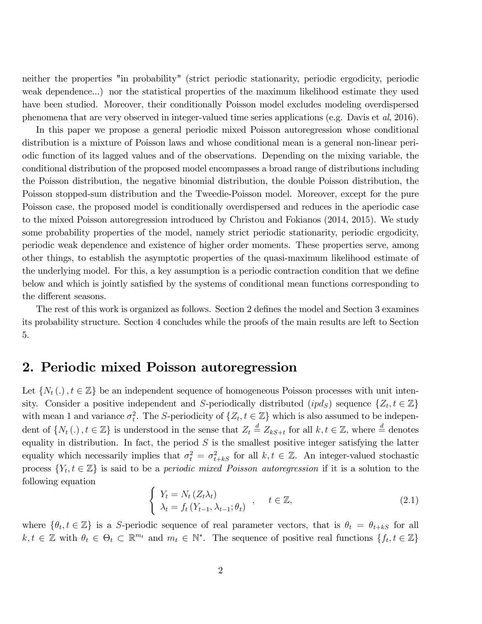neither the properties "in probability" (strict periodic stationarity, periodic ergodicity, periodic weak dependence...) nor the statistical properties of the maximum likelihood estimate they used have been studied. Moreover, their conditionally Poisson model excludes modeling overdispersed phenomena that are very observed in integer-valued time series applications (e.g. Davis et al, 2016).

In this paper we propose a general periodic mixed Poisson autoregression whose conditional distribution is a mixture of Poisson laws and whose conditional mean is a general non-linear periodic function of its lagged values and of the observations. Depending on the mixing variable, the conditional distribution of the proposed model encompasses a broad range of distributions including the Poisson distribution, the negative binomial distribution, the double Poisson distribution, the Poisson stopped-sum distribution and the Tweedie-Poisson model. Moreover, except for the pure Poisson case, the proposed model is conditionally overdispersed and reduces in the aperiodic case to the mixed Poisson autoregression introduced by Christou and Fokianos (2014, 2015). We study some probability properties of the model, namely strict periodic stationarity, periodic ergodicity, periodic weak dependence and existence of higher order moments. These properties serve, among other things, to establish the asymptotic properties of the quasi-maximum likelihood estimate of the underlying model. For this, a key assumption is a periodic contraction condition that we define below and which is jointly satisfied by the systems of conditional mean functions corresponding to the different seasons.

The rest of this work is organized as follows. Section 2 defines the model and Section 3 examines its probability structure. Section 4 concludes while the proofs of the main results are left to Section 5.

### 2. Periodic mixed Poisson autoregression

Let  $\{N_t(.)$ ,  $t \in \mathbb{Z}\}$  be an independent sequence of homogeneous Poisson processes with unit intensity. Consider a positive independent and S-periodically distributed  $(pd_S)$  sequence  $\{Z_t, t \in \mathbb{Z}\}\$ with mean 1 and variance  $\sigma_t^2$ . The S-periodicity of  $\{Z_t, t \in \mathbb{Z}\}\$  which is also assumed to be independent of  $\{N_t(.)$ ,  $t \in \mathbb{Z}\}$  is understood in the sense that  $Z_t \stackrel{d}{=} Z_{kS+t}$  for all  $k, t \in \mathbb{Z}$ , where  $\stackrel{d}{=}$  denotes equality in distribution. In fact, the period  $S$  is the smallest positive integer satisfying the latter equality which necessarily implies that  $\sigma_t^2 = \sigma_{t+ks}^2$  for all  $k, t \in \mathbb{Z}$ . An integer-valued stochastic process  $\{Y_t, t \in \mathbb{Z}\}\$ is said to be a *periodic mixed Poisson autoregression* if it is a solution to the following equation

$$
\begin{cases}\nY_t = N_t (Z_t \lambda_t) \\
\lambda_t = f_t (Y_{t-1}, \lambda_{t-1}; \theta_t) \n\end{cases}, \quad t \in \mathbb{Z},
$$
\n(2.1)

where  $\{\theta_t, t \in \mathbb{Z}\}\$  is a S-periodic sequence of real parameter vectors, that is  $\theta_t = \theta_{t+kS}$  for all  $k, t \in \mathbb{Z}$  with  $\theta_t \in \Theta_t \subset \mathbb{R}^{m_t}$  and  $m_t \in \mathbb{N}^*$ . The sequence of positive real functions  $\{f_t, t \in \mathbb{Z}\}\$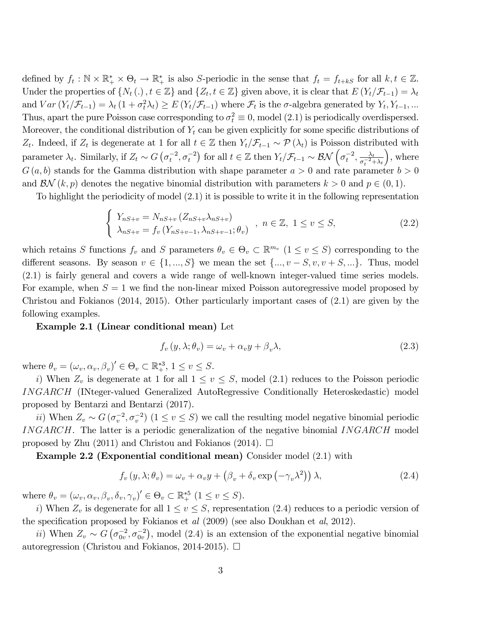defined by  $f_t : \mathbb{N} \times \mathbb{R}_+^* \times \Theta_t \to \mathbb{R}_+^*$  is also S-periodic in the sense that  $f_t = f_{t+kS}$  for all  $k, t \in \mathbb{Z}$ . Under the properties of  $\{N_t(.)$ ,  $t \in \mathbb{Z}\}$  and  $\{Z_t, t \in \mathbb{Z}\}$  given above, it is clear that  $E(Y_t/\mathcal{F}_{t-1}) = \lambda_t$ and  $Var(Y_t | \mathcal{F}_{t-1}) = \lambda_t (1 + \sigma_t^2 \lambda_t) \ge E(Y_t | \mathcal{F}_{t-1})$  where  $\mathcal{F}_t$  is the  $\sigma$ -algebra generated by  $Y_t, Y_{t-1}, ...$ Thus, apart the pure Poisson case corresponding to  $\sigma_t^2 \equiv 0$ , model (2.1) is periodically overdispersed. Moreover, the conditional distribution of  $Y_t$  can be given explicitly for some specific distributions of Z<sub>t</sub>. Indeed, if  $Z_t$  is degenerate at 1 for all  $t \in \mathbb{Z}$  then  $Y_t/\mathcal{F}_{t-1} \sim \mathcal{P}(\lambda_t)$  is Poisson distributed with parameter  $\lambda_t$ . Similarly, if  $Z_t \sim G\left(\sigma_t^{-2}, \sigma_t^{-2}\right)$  for all  $t \in \mathbb{Z}$  then  $Y_t / \mathcal{F}_{t-1} \sim \mathcal{BN}\left(\sigma_t^{-2}, \frac{\lambda_t}{\sigma_t^{-2}+1}\right)$  $\overline{\sigma_t^{-2} + \lambda_t}$  , where  $G(a, b)$  stands for the Gamma distribution with shape parameter  $a > 0$  and rate parameter  $b > 0$ and  $\mathcal{BN}(k, p)$  denotes the negative binomial distribution with parameters  $k > 0$  and  $p \in (0, 1)$ .

To highlight the periodicity of model (2:1) it is possible to write it in the following representation

$$
\begin{cases}\nY_{nS+v} = N_{nS+v} (Z_{nS+v} \lambda_{nS+v}) \\
\lambda_{nS+v} = f_v (Y_{nS+v-1}, \lambda_{nS+v-1}; \theta_v) \n\end{cases}, \quad n \in \mathbb{Z}, \ 1 \le v \le S,
$$
\n(2.2)

which retains S functions  $f_v$  and S parameters  $\theta_v \in \Theta_v \subset \mathbb{R}^{m_v}$   $(1 \le v \le S)$  corresponding to the different seasons. By season  $v \in \{1, ..., S\}$  we mean the set  $\{..., v - S, v, v + S, ...\}$ . Thus, model (2:1) is fairly general and covers a wide range of well-known integer-valued time series models. For example, when  $S = 1$  we find the non-linear mixed Poisson autoregressive model proposed by Christou and Fokianos (2014, 2015). Other particularly important cases of (2:1) are given by the following examples.

#### Example 2.1 (Linear conditional mean) Let

$$
f_v(y, \lambda; \theta_v) = \omega_v + \alpha_v y + \beta_v \lambda,
$$
\n(2.3)

where  $\theta_v = (\omega_v, \alpha_v, \beta_v)' \in \Theta_v \subset \mathbb{R}^{*3}_+, 1 \le v \le S$ .

i) When  $Z_v$  is degenerate at 1 for all  $1 \le v \le S$ , model (2.1) reduces to the Poisson periodic INGARCH (INteger-valued Generalized AutoRegressive Conditionally Heteroskedastic) model proposed by Bentarzi and Bentarzi (2017).

ii) When  $Z_v \sim G(\sigma_v^{-2}, \sigma_v^{-2})$   $(1 \le v \le S)$  we call the resulting model negative binomial periodic INGARCH. The latter is a periodic generalization of the negative binomial INGARCH model proposed by Zhu (2011) and Christou and Fokianos (2014).  $\Box$ 

Example 2.2 (Exponential conditional mean) Consider model (2:1) with

$$
f_v(y, \lambda; \theta_v) = \omega_v + \alpha_v y + (\beta_v + \delta_v \exp(-\gamma_v \lambda^2)) \lambda,
$$
\n(2.4)

where  $\theta_v = (\omega_v, \alpha_v, \beta_v, \delta_v, \gamma_v)' \in \Theta_v \subset \mathbb{R}_+^{*5}$   $(1 \le v \le S)$ .

i) When  $Z_v$  is degenerate for all  $1 \le v \le S$ , representation (2.4) reduces to a periodic version of the specification proposed by Fokianos et  $al$  (2009) (see also Doukhan et  $al$ , 2012).

ii) When  $Z_v \sim G\left(\sigma_{0v}^{-2}, \sigma_{0v}^{-2}\right)$ , model (2.4) is an extension of the exponential negative binomial autoregression (Christou and Fokianos, 2014-2015).  $\Box$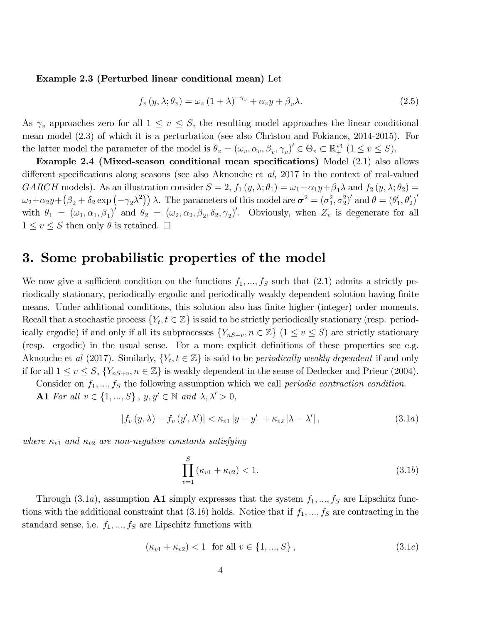#### Example 2.3 (Perturbed linear conditional mean) Let

$$
f_v(y, \lambda; \theta_v) = \omega_v (1 + \lambda)^{-\gamma_v} + \alpha_v y + \beta_v \lambda.
$$
 (2.5)

As  $\gamma_v$  approaches zero for all  $1 \le v \le S$ , the resulting model approaches the linear conditional mean model (2:3) of which it is a perturbation (see also Christou and Fokianos, 2014-2015). For the latter model the parameter of the model is  $\theta_v = (\omega_v, \alpha_v, \beta_v, \gamma_v)' \in \Theta_v \subset \mathbb{R}^{*4}_+$   $(1 \le v \le S)$ .

Example 2.4 (Mixed-season conditional mean specifications) Model  $(2.1)$  also allows different specifications along seasons (see also Aknouche et  $al$ , 2017 in the context of real-valued GARCH models). As an illustration consider  $S = 2$ ,  $f_1(y, \lambda; \theta_1) = \omega_1 + \alpha_1 y + \beta_1 \lambda$  and  $f_2(y, \lambda; \theta_2) =$  $\omega_2 + \alpha_2 y + (\beta_2 + \delta_2 \exp(-\gamma_2 \lambda^2)) \lambda$ . The parameters of this model are  $\boldsymbol{\sigma}^2 = (\sigma_1^2, \sigma_2^2)'$  and  $\theta = (\theta_1^2, \theta_2^2)$  $\left( \frac{1}{1}, \theta_{2}' \right)'$ with  $\theta_1 = (\omega_1, \alpha_1, \beta_1)'$  and  $\theta_2 = (\omega_2, \alpha_2, \beta_2, \delta_2, \gamma_2)'$ . Obviously, when  $Z_v$  is degenerate for all  $1 \le v \le S$  then only  $\theta$  is retained.  $\square$ 

### 3. Some probabilistic properties of the model

We now give a sufficient condition on the functions  $f_1, ..., f_S$  such that (2.1) admits a strictly periodically stationary, periodically ergodic and periodically weakly dependent solution having finite means. Under additional conditions, this solution also has finite higher (integer) order moments. Recall that a stochastic process  $\{Y_t, t \in \mathbb{Z}\}$  is said to be strictly periodically stationary (resp. periodically ergodic) if and only if all its subprocesses  $\{Y_{nS+v}, n \in \mathbb{Z}\}\ (1 \le v \le S)$  are strictly stationary (resp. ergodic) in the usual sense. For a more explicit definitions of these properties see e.g. Aknouche et al (2017). Similarly,  $\{Y_t, t \in \mathbb{Z}\}\$ is said to be *periodically weakly dependent* if and only if for all  $1 \le v \le S$ ,  $\{Y_{nS+v}, n \in \mathbb{Z}\}\$ is weakly dependent in the sense of Dedecker and Prieur (2004).

Consider on  $f_1, ..., f_S$  the following assumption which we call *periodic contraction condition*. A1 For all  $v \in \{1, ..., S\}$ ,  $y, y' \in \mathbb{N}$  and  $\lambda, \lambda' > 0$ ,

$$
|f_v(y,\lambda) - f_v(y',\lambda')| < \kappa_{v1}|y - y'| + \kappa_{v2}|\lambda - \lambda'|,\tag{3.1a}
$$

where  $\kappa_{v1}$  and  $\kappa_{v2}$  are non-negative constants satisfying

$$
\prod_{v=1}^{S} (\kappa_{v1} + \kappa_{v2}) < 1. \tag{3.1b}
$$

Through (3.1a), assumption **A1** simply expresses that the system  $f_1, ..., f_S$  are Lipschitz functions with the additional constraint that  $(3.1b)$  holds. Notice that if  $f_1, ..., f_S$  are contracting in the standard sense, i.e.  $f_1, ..., f_S$  are Lipschitz functions with

$$
(\kappa_{v1} + \kappa_{v2}) < 1 \quad \text{for all } v \in \{1, \dots, S\},\tag{3.1c}
$$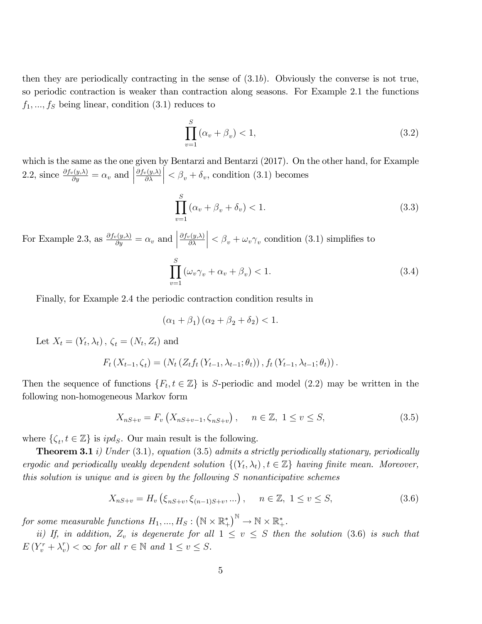then they are periodically contracting in the sense of  $(3.1b)$ . Obviously the converse is not true, so periodic contraction is weaker than contraction along seasons. For Example 2.1 the functions  $f_1, ..., f_s$  being linear, condition  $(3.1)$  reduces to

$$
\prod_{v=1}^{S} \left( \alpha_v + \beta_v \right) < 1,\tag{3.2}
$$

which is the same as the one given by Bentarzi and Bentarzi (2017). On the other hand, for Example 2.2, since  $\frac{\partial f_v(y,\lambda)}{\partial y} = \alpha_v$  and  $\partial f_v(y,\lambda)$  $\partial \lambda$  $\left| \langle \beta_v + \delta_v, \text{condition (3.1) becomes} \right|$ 

$$
\prod_{v=1}^{S} \left( \alpha_v + \beta_v + \delta_v \right) < 1. \tag{3.3}
$$

For Example 2.3, as  $\frac{\partial f_v(y,\lambda)}{\partial y} = \alpha_v$  and  $\partial f_v(y,\!\lambda)$  $\partial \lambda$  $\vert < \beta_v + \omega_v \gamma_v$  condition (3.1) simplifies to

$$
\prod_{v=1}^{S} \left( \omega_v \gamma_v + \alpha_v + \beta_v \right) < 1. \tag{3.4}
$$

Finally, for Example 2.4 the periodic contraction condition results in

$$
(\alpha_1 + \beta_1)(\alpha_2 + \beta_2 + \delta_2) < 1.
$$

Let  $X_t = (Y_t, \lambda_t)$ ,  $\zeta_t = (N_t, Z_t)$  and

$$
F_t(X_{t-1}, \zeta_t) = (N_t(Z_t f_t(Y_{t-1}, \lambda_{t-1}; \theta_t)), f_t(Y_{t-1}, \lambda_{t-1}; \theta_t)).
$$

Then the sequence of functions  $\{F_t, t \in \mathbb{Z}\}\$ is S-periodic and model (2.2) may be written in the following non-homogeneous Markov form

$$
X_{nS+v} = F_v(X_{nS+v-1}, \zeta_{nS+v}), \quad n \in \mathbb{Z}, \ 1 \le v \le S,
$$
\n(3.5)

where  $\{\zeta_t, t \in \mathbb{Z}\}$  is  $ipd_S$ . Our main result is the following.

**Theorem 3.1** *i*) Under (3.1), equation (3.5) admits a strictly periodically stationary, periodically ergodic and periodically weakly dependent solution  $\{(Y_t, \lambda_t), t \in \mathbb{Z}\}\)$  having finite mean. Moreover, this solution is unique and is given by the following S nonanticipative schemes

$$
X_{nS+v} = H_v\left(\xi_{nS+v}, \xi_{(n-1)S+v}, \dots\right), \quad n \in \mathbb{Z}, \ 1 \le v \le S,\tag{3.6}
$$

for some measurable functions  $H_1, ..., H_S : (\mathbb{N} \times \mathbb{R}^*_+)$  ${}_{+}^{*}\big)^{\mathbb{N}}\to\mathbb{N}\times\mathbb{R}_{+}^{*}.$ 

ii) If, in addition,  $Z_v$  is degenerate for all  $1 \le v \le S$  then the solution (3.6) is such that  $E(Y_v^r + \lambda_v^r))$  $\binom{r}{v} < \infty$  for all  $r \in \mathbb{N}$  and  $1 \le v \le S$ .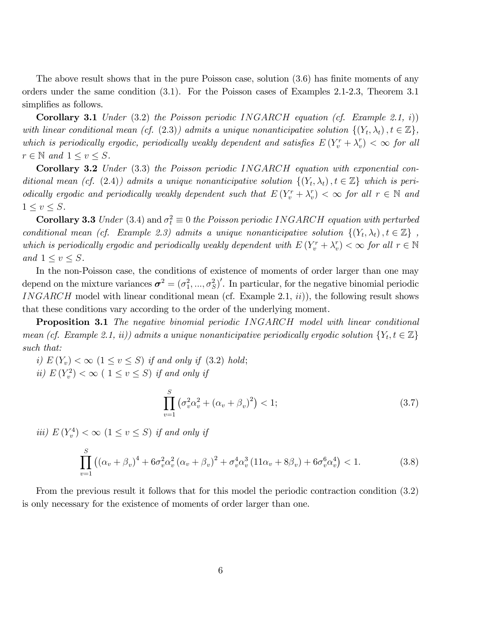The above result shows that in the pure Poisson case, solution  $(3.6)$  has finite moments of any orders under the same condition (3:1). For the Poisson cases of Examples 2.1-2.3, Theorem 3.1 simplifies as follows.

**Corollary 3.1** Under  $(3.2)$  the Poisson periodic INGARCH equation (cf. Example 2.1, i)) with linear conditional mean (cf. (2.3)) admits a unique nonanticipative solution  $\{(Y_t, \lambda_t), t \in \mathbb{Z}\},$ which is periodically ergodic, periodically weakly dependent and satisfies  $E(Y_v^r + \lambda_v^r)$  $\binom{r}{v} < \infty$  for all  $r \in \mathbb{N}$  and  $1 \le v \le S$ .

Corollary 3.2 Under (3.3) the Poisson periodic INGARCH equation with exponential conditional mean (cf. (2.4)) admits a unique nonanticipative solution  $\{(Y_t, \lambda_t), t \in \mathbb{Z}\}\$  which is periodically ergodic and periodically weakly dependent such that  $E(Y_v^r + \lambda_v^r)$  $(v<sub>v</sub>) < \infty$  for all  $r \in \mathbb{N}$  and  $1 \leq v \leq S$ .

**Corollary 3.3** Under (3.4) and  $\sigma_t^2 \equiv 0$  the Poisson periodic INGARCH equation with perturbed conditional mean (cf. Example 2.3) admits a unique nonanticipative solution  $\{(Y_t, \lambda_t), t \in \mathbb{Z}\}\,$ , which is periodically ergodic and periodically weakly dependent with  $E(Y_v^r + \lambda_v^r)$  $(v_r) < \infty$  for all  $r \in \mathbb{N}$ and  $1 \leq v \leq S$ .

In the non-Poisson case, the conditions of existence of moments of order larger than one may depend on the mixture variances  $\sigma^2 = (\sigma_1^2, ..., \sigma_S^2)'$ . In particular, for the negative binomial periodic INGARCH model with linear conditional mean (cf. Example 2.1,  $ii$ )), the following result shows that these conditions vary according to the order of the underlying moment.

**Proposition 3.1** The negative binomial periodic INGARCH model with linear conditional mean (cf. Example 2.1, ii)) admits a unique nonanticipative periodically ergodic solution  $\{Y_t, t \in \mathbb{Z}\}\$ such that:

i)  $E(Y_v) < \infty$   $(1 \le v \le S)$  if and only if (3.2) hold; ii)  $E(Y_v^2) < \infty$  (  $1 \le v \le S$ ) if and only if

$$
\prod_{v=1}^{S} \left( \sigma_v^2 \alpha_v^2 + (\alpha_v + \beta_v)^2 \right) < 1; \tag{3.7}
$$

*iii*)  $E(Y_v^4) < \infty$  ( $1 \le v \le S$ ) *if and only if* 

$$
\prod_{v=1}^{S} \left( (\alpha_v + \beta_v)^4 + 6\sigma_v^2 \alpha_v^2 (\alpha_v + \beta_v)^2 + \sigma_v^4 \alpha_v^3 (11\alpha_v + 8\beta_v) + 6\sigma_v^6 \alpha_v^4 \right) < 1.
$$
 (3.8)

From the previous result it follows that for this model the periodic contraction condition (3:2) is only necessary for the existence of moments of order larger than one.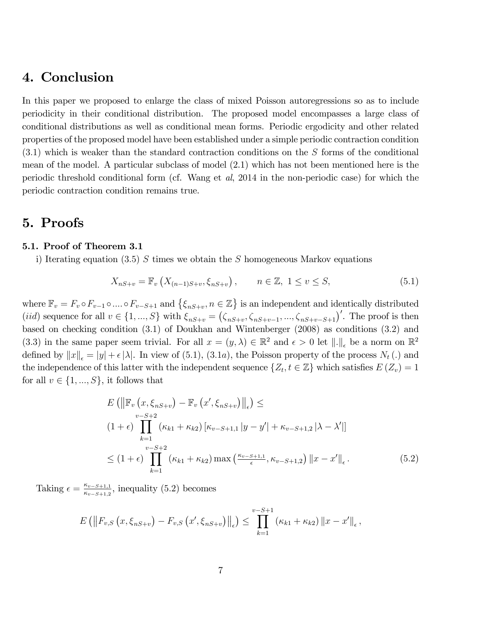## 4. Conclusion

In this paper we proposed to enlarge the class of mixed Poisson autoregressions so as to include periodicity in their conditional distribution. The proposed model encompasses a large class of conditional distributions as well as conditional mean forms. Periodic ergodicity and other related properties of the proposed model have been established under a simple periodic contraction condition  $(3.1)$  which is weaker than the standard contraction conditions on the S forms of the conditional mean of the model. A particular subclass of model (2.1) which has not been mentioned here is the periodic threshold conditional form (cf. Wang et al, 2014 in the non-periodic case) for which the periodic contraction condition remains true.

### 5. Proofs

#### 5.1. Proof of Theorem 3.1

i) Iterating equation (3.5) S times we obtain the S homogeneous Markov equations

$$
X_{nS+v} = \mathbb{F}_v \left( X_{(n-1)S+v}, \xi_{nS+v} \right), \qquad n \in \mathbb{Z}, \ 1 \le v \le S,
$$
\n(5.1)

where  $\mathbb{F}_v = F_v \circ F_{v-1} \circ \dots \circ F_{v-S+1}$  and  $\{\xi_{nS+v}, n \in \mathbb{Z}\}\$  is an independent and identically distributed (*iid*) sequence for all  $v \in \{1, ..., S\}$  with  $\xi_{nS+v} = (\zeta_{nS+v}, \zeta_{nS+v-1}, ..., \zeta_{nS+v-S+1})'$ . The proof is then based on checking condition (3:1) of Doukhan and Wintenberger (2008) as conditions (3:2) and (3.3) in the same paper seem trivial. For all  $x = (y, \lambda) \in \mathbb{R}^2$  and  $\epsilon > 0$  let  $\|.\|_{\epsilon}$  be a norm on  $\mathbb{R}^2$ defined by  $||x||_{\epsilon} = |y| + \epsilon |\lambda|$ . In view of (5.1), (3.1a), the Poisson property of the process  $N_t(.)$  and the independence of this latter with the independent sequence  $\{Z_t, t \in \mathbb{Z}\}\$  which satisfies  $E(Z_v) = 1$ for all  $v \in \{1, ..., S\}$ , it follows that

$$
E\left(\left\|\mathbb{F}_{v}\left(x,\xi_{nS+v}\right)-\mathbb{F}_{v}\left(x',\xi_{nS+v}\right)\right\|_{\epsilon}\right) \leq
$$
  
\n
$$
(1+\epsilon)\prod_{k=1}^{v-S+2} \left(\kappa_{k1}+\kappa_{k2}\right)\left[\kappa_{v-S+1,1}\left|y-y'\right|+\kappa_{v-S+1,2}\left|\lambda-\lambda'\right|\right]
$$
  
\n
$$
\leq (1+\epsilon)\prod_{k=1}^{v-S+2} \left(\kappa_{k1}+\kappa_{k2}\right)\max\left(\frac{\kappa_{v-S+1,1}}{\epsilon},\kappa_{v-S+1,2}\right)\left\|x-x'\right\|_{\epsilon}.
$$
 (5.2)

Taking  $\epsilon = \frac{\kappa_{v-S+1,1}}{\kappa_{g}(\kappa+1,0)}$  $\frac{\kappa_{v-S+1,1}}{\kappa_{v-S+1,2}}$ , inequality (5.2) becomes

$$
E\left(\left\|F_{v,S}\left(x,\xi_{nS+v}\right)-F_{v,S}\left(x',\xi_{nS+v}\right)\right\|_{\epsilon}\right)\leq\prod_{k=1}^{v-S+1}\left(\kappa_{k1}+\kappa_{k2}\right)\left\|x-x'\right\|_{\epsilon},
$$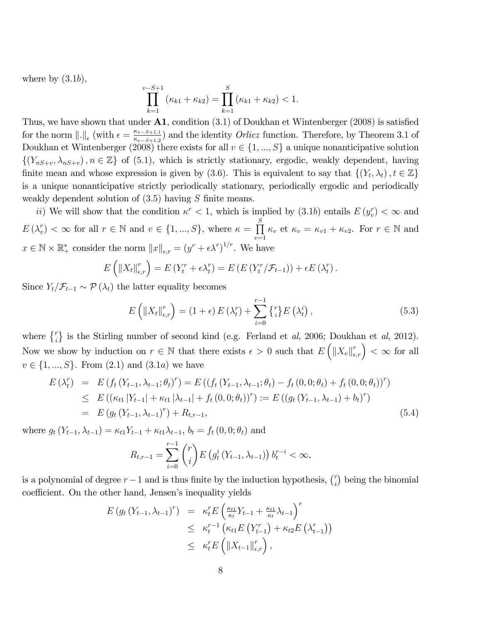where by  $(3.1b)$ ,

$$
\prod_{k=1}^{v-S+1} (\kappa_{k1} + \kappa_{k2}) = \prod_{k=1}^{S} (\kappa_{k1} + \kappa_{k2}) < 1.
$$

Thus, we have shown that under  $\mathbf{A1}$ , condition (3.1) of Doukhan et Wintenberger (2008) is satisfied for the norm  $\|.\|_{\epsilon}$  (with  $\epsilon = \frac{\kappa_{v-S+1,1}}{\kappa_{v-S+1,2}}$  $\frac{\kappa_{v-S+1,1}}{\kappa_{v-S+1,2}}$  and the identity *Orlicz* function. Therefore, by Theorem 3.1 of Doukhan et Wintenberger (2008) there exists for all  $v \in \{1, ..., S\}$  a unique nonanticipative solution  $\{(Y_{nS+v}, \lambda_{nS+v}), n \in \mathbb{Z}\}\$  of (5.1), which is strictly stationary, ergodic, weakly dependent, having finite mean and whose expression is given by (3.6). This is equivalent to say that  $\{(Y_t, \lambda_t), t \in \mathbb{Z}\}\$ is a unique nonanticipative strictly periodically stationary, periodically ergodic and periodically weakly dependent solution of  $(3.5)$  having S finite means.

ii) We will show that the condition  $\kappa^r < 1$ , which is implied by  $(3.1b)$  entails  $E(y_r^r) < \infty$  and  $E\left(\lambda_{v}^{r}\right)$  $(v^r) < \infty$  for all  $r \in \mathbb{N}$  and  $v \in \{1, ..., S\}$ , where  $\kappa = \prod^S$  $v=1$  $\kappa_v$  et  $\kappa_v = \kappa_{v1} + \kappa_{v2}$ . For  $r \in \mathbb{N}$  and  $x \in \mathbb{N} \times \mathbb{R}_+^*$  consider the norm  $||x||_{\epsilon,r} = (y^r + \epsilon \lambda^r)^{1/r}$ . We have

$$
E\left(\left\|X_t\right\|_{\epsilon,r}^r\right) = E\left(Y_t^r + \epsilon \lambda_t^r\right) = E\left(E\left(Y_t^r / \mathcal{F}_{t-1}\right)\right) + \epsilon E\left(\lambda_t^r\right).
$$

Since  $Y_t/\mathcal{F}_{t-1} \sim \mathcal{P}(\lambda_t)$  the latter equality becomes

$$
E\left(\left\|X_t\right\|_{\epsilon,r}^r\right) = \left(1+\epsilon\right)E\left(\lambda_t^r\right) + \sum_{i=0}^{r-1} \left\{ {}_i^r \right\} E\left(\lambda_t^i\right),\tag{5.3}
$$

where  $\{^{r}_{i}\}$  is the Stirling number of second kind (e.g. Ferland et al, 2006; Doukhan et al, 2012). Now we show by induction on  $r \in \mathbb{N}$  that there exists  $\epsilon > 0$  such that  $E\left(\left\|X_v\right\|_{\epsilon,r}^r\right) < \infty$  for all  $v \in \{1, ..., S\}$ . From  $(2.1)$  and  $(3.1a)$  we have

$$
E(\lambda_t^r) = E(f_t(Y_{t-1}, \lambda_{t-1}; \theta_t)^r) = E((f_t(Y_{t-1}, \lambda_{t-1}; \theta_t) - f_t(0, 0; \theta_t) + f_t(0, 0; \theta_t))^r)
$$
  
\n
$$
\leq E((\kappa_{t1} | Y_{t-1}| + \kappa_{t1} |\lambda_{t-1}| + f_t(0, 0; \theta_t))^r) := E((g_t(Y_{t-1}, \lambda_{t-1}) + b_t)^r)
$$
  
\n
$$
= E(g_t(Y_{t-1}, \lambda_{t-1})^r) + R_{t,r-1},
$$
\n(5.4)

where  $q_t(Y_{t-1}, \lambda_{t-1}) = \kappa_{t1}Y_{t-1} + \kappa_{t1}\lambda_{t-1}, b_t = f_t(0, 0; \theta_t)$  and

$$
R_{t,r-1} = \sum_{i=0}^{r-1} {r \choose i} E(g_t^i(Y_{t-1}, \lambda_{t-1})) b_t^{r-i} < \infty,
$$

is a polynomial of degree  $r-1$  and is thus finite by the induction hypothesis,  $\binom{r}{i}$  $\binom{r}{i}$  being the binomial coefficient. On the other hand, Jensen's inequality yields

$$
E(g_t(Y_{t-1}, \lambda_{t-1})^r) = \kappa_t^r E\left(\frac{\kappa_{t1}}{\kappa_t} Y_{t-1} + \frac{\kappa_{t1}}{\kappa_t} \lambda_{t-1}\right)^r
$$
  
\n
$$
\leq \kappa_t^{r-1} \left(\kappa_{t1} E\left(Y_{t-1}^r\right) + \kappa_{t2} E\left(\lambda_{t-1}^r\right)\right)
$$
  
\n
$$
\leq \kappa_t^r E\left(\|X_{t-1}\|_{\epsilon,r}^r\right),
$$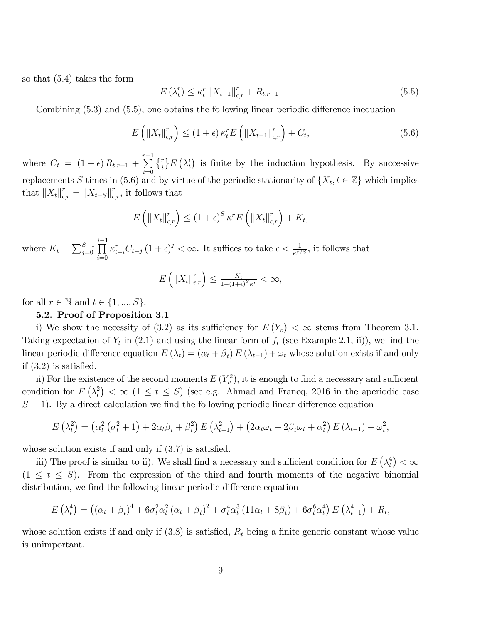so that  $(5.4)$  takes the form

$$
E\left(\lambda_t^r\right) \leq \kappa_t^r \left\|X_{t-1}\right\|_{\epsilon,r}^r + R_{t,r-1}.\tag{5.5}
$$

Combining  $(5.3)$  and  $(5.5)$ , one obtains the following linear periodic difference inequation

$$
E\left(\left\|X_t\right\|_{\epsilon,r}^r\right) \le (1+\epsilon)\,\kappa_t^r E\left(\left\|X_{t-1}\right\|_{\epsilon,r}^r\right) + C_t,\tag{5.6}
$$

where  $C_t = (1 + \epsilon) R_{t,r-1} + \sum_{r=1}^{r-1}$  $i=0$  $\{^r_i\}E\left(\lambda^i_t\right)$  $t(t)$  is finite by the induction hypothesis. By successive replacements S times in (5.6) and by virtue of the periodic stationarity of  $\{X_t, t \in \mathbb{Z}\}\)$  which implies that  $||X_t||_{\epsilon,r}^r = ||X_{t-S}||_{\epsilon,r}^r$ , it follows that

$$
E\left(\left\|X_t\right\|_{\epsilon,r}^r\right) \leq \left(1+\epsilon\right)^S \kappa^r E\left(\left\|X_t\right\|_{\epsilon,r}^r\right) + K_t,
$$

where  $K_t = \sum_{j=0}^{S-1}$  $\prod^{j-1}$  $i=0$  $\kappa_{t-i}^r C_{t-j} (1+\epsilon)^j < \infty$ . It suffices to take  $\epsilon < \frac{1}{\kappa^{r/S}}$ , it follows that

$$
E\left(\left\|X_t\right\|_{\epsilon,r}^r\right) \le \frac{K_t}{1-(1+\epsilon)^S\kappa^r} < \infty,
$$

for all  $r \in \mathbb{N}$  and  $t \in \{1, ..., S\}$ .

#### 5.2. Proof of Proposition 3.1

i) We show the necessity of (3.2) as its sufficiency for  $E(Y_v) < \infty$  stems from Theorem 3.1. Taking expectation of  $Y_t$  in (2.1) and using the linear form of  $f_t$  (see Example 2.1, ii)), we find the linear periodic difference equation  $E(\lambda_t) = (\alpha_t + \beta_t) E(\lambda_{t-1}) + \omega_t$  whose solution exists if and only if  $(3.2)$  is satisfied.

ii) For the existence of the second moments  $E(Y_v^2)$ , it is enough to find a necessary and sufficient condition for  $E\left(\lambda_t^2\right)$  $t<sub>t</sub><sup>2</sup>$ )  $<\infty$  (1  $\leq$  t  $\leq$  S) (see e.g. Ahmad and Francq, 2016 in the aperiodic case  $S = 1$ . By a direct calculation we find the following periodic linear difference equation

$$
E\left(\lambda_t^2\right) = \left(\alpha_t^2\left(\sigma_t^2 + 1\right) + 2\alpha_t\beta_t + \beta_t^2\right)E\left(\lambda_{t-1}^2\right) + \left(2\alpha_t\omega_t + 2\beta_t\omega_t + \alpha_t^2\right)E\left(\lambda_{t-1}\right) + \omega_t^2,
$$

whose solution exists if and only if  $(3.7)$  is satisfied.

iii) The proof is similar to ii). We shall find a necessary and sufficient condition for  $E\left(\lambda_t^4\right)$  $\binom{4}{t}<\infty$  $(1 \leq t \leq S)$ . From the expression of the third and fourth moments of the negative binomial distribution, we find the following linear periodic difference equation

$$
E\left(\lambda_t^4\right) = \left(\left(\alpha_t + \beta_t\right)^4 + 6\sigma_t^2\alpha_t^2\left(\alpha_t + \beta_t\right)^2 + \sigma_t^4\alpha_t^3\left(11\alpha_t + 8\beta_t\right) + 6\sigma_t^6\alpha_t^4\right)E\left(\lambda_{t-1}^4\right) + R_t,
$$

whose solution exists if and only if  $(3.8)$  is satisfied,  $R_t$  being a finite generic constant whose value is unimportant.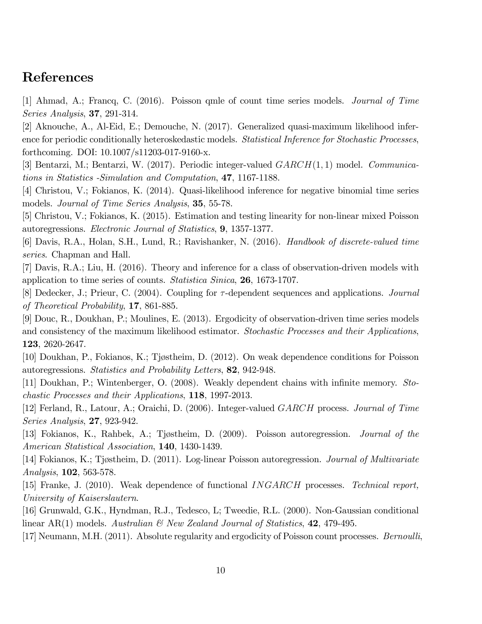## References

[1] Ahmad, A.; Francq, C. (2016). Poisson qmle of count time series models. Journal of Time Series Analysis, 37, 291-314.

[2] Aknouche, A., Al-Eid, E.; Demouche, N. (2017). Generalized quasi-maximum likelihood inference for periodic conditionally heteroskedastic models. Statistical Inference for Stochastic Processes, forthcoming. DOI: 10.1007/s11203-017-9160-x.

[3] Bentarzi, M.; Bentarzi, W. (2017). Periodic integer-valued  $GARCH(1,1)$  model. *Communica*tions in Statistics -Simulation and Computation, 47, 1167-1188.

[4] Christou, V.; Fokianos, K. (2014). Quasi-likelihood inference for negative binomial time series models. Journal of Time Series Analysis, 35, 55-78.

[5] Christou, V.; Fokianos, K. (2015). Estimation and testing linearity for non-linear mixed Poisson autoregressions. Electronic Journal of Statistics, 9, 1357-1377.

[6] Davis, R.A., Holan, S.H., Lund, R.; Ravishanker, N. (2016). Handbook of discrete-valued time series. Chapman and Hall.

[7] Davis, R.A.; Liu, H. (2016). Theory and inference for a class of observation-driven models with application to time series of counts. Statistica Sinica, 26, 1673-1707.

[8] Dedecker, J.; Prieur, C. (2004). Coupling for  $\tau$ -dependent sequences and applications. *Journal* of Theoretical Probability, 17, 861-885.

[9] Douc, R., Doukhan, P.; Moulines, E. (2013). Ergodicity of observation-driven time series models and consistency of the maximum likelihood estimator. Stochastic Processes and their Applications, 123, 2620-2647.

[10] Doukhan, P., Fokianos, K.; Tjøstheim, D. (2012). On weak dependence conditions for Poisson autoregressions. Statistics and Probability Letters, 82, 942-948.

[11] Doukhan, P.; Wintenberger, O. (2008). Weakly dependent chains with infinite memory. Stochastic Processes and their Applications, 118, 1997-2013.

[12] Ferland, R., Latour, A.; Oraichi, D. (2006). Integer-valued GARCH process. Journal of Time Series Analysis, 27, 923-942.

[13] Fokianos, K., Rahbek, A.; Tjøstheim, D. (2009). Poisson autoregression. Journal of the American Statistical Association, 140, 1430-1439.

[14] Fokianos, K.; Tjøstheim, D. (2011). Log-linear Poisson autoregression. Journal of Multivariate Analysis, 102, 563-578.

[15] Franke, J. (2010). Weak dependence of functional *INGARCH* processes. Technical report, University of Kaiserslautern.

[16] Grunwald, G.K., Hyndman, R.J., Tedesco, L; Tweedie, R.L. (2000). Non-Gaussian conditional linear AR(1) models. Australian  $\mathcal{B}$  New Zealand Journal of Statistics, 42, 479-495.

[17] Neumann, M.H. (2011). Absolute regularity and ergodicity of Poisson count processes. *Bernoulli*,